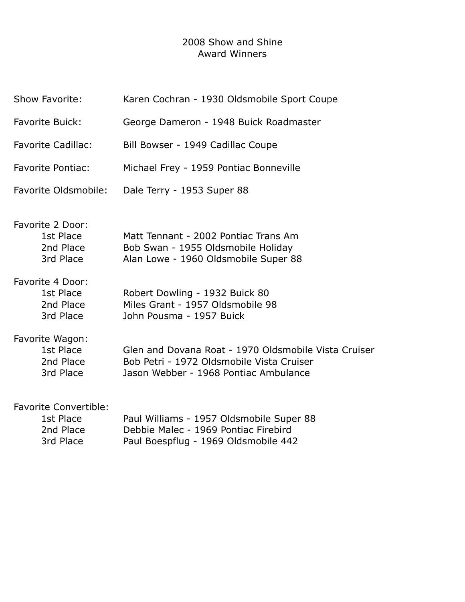## 2008 Show and Shine Award Winners

| Show Favorite:                                                      | Karen Cochran - 1930 Oldsmobile Sport Coupe                                                                                                |
|---------------------------------------------------------------------|--------------------------------------------------------------------------------------------------------------------------------------------|
| <b>Favorite Buick:</b>                                              | George Dameron - 1948 Buick Roadmaster                                                                                                     |
| <b>Favorite Cadillac:</b>                                           | Bill Bowser - 1949 Cadillac Coupe                                                                                                          |
| <b>Favorite Pontiac:</b>                                            | Michael Frey - 1959 Pontiac Bonneville                                                                                                     |
| Favorite Oldsmobile:                                                | Dale Terry - 1953 Super 88                                                                                                                 |
| Favorite 2 Door:<br>1st Place<br>2nd Place<br>3rd Place             | Matt Tennant - 2002 Pontiac Trans Am<br>Bob Swan - 1955 Oldsmobile Holiday<br>Alan Lowe - 1960 Oldsmobile Super 88                         |
| Favorite 4 Door:<br>1st Place<br>2nd Place<br>3rd Place             | Robert Dowling - 1932 Buick 80<br>Miles Grant - 1957 Oldsmobile 98<br>John Pousma - 1957 Buick                                             |
| Favorite Wagon:<br>1st Place<br>2nd Place<br>3rd Place              | Glen and Dovana Roat - 1970 Oldsmobile Vista Cruiser<br>Bob Petri - 1972 Oldsmobile Vista Cruiser<br>Jason Webber - 1968 Pontiac Ambulance |
| <b>Favorite Convertible:</b><br>1st Place<br>2nd Place<br>3rd Place | Paul Williams - 1957 Oldsmobile Super 88<br>Debbie Malec - 1969 Pontiac Firebird<br>Paul Boespflug - 1969 Oldsmobile 442                   |